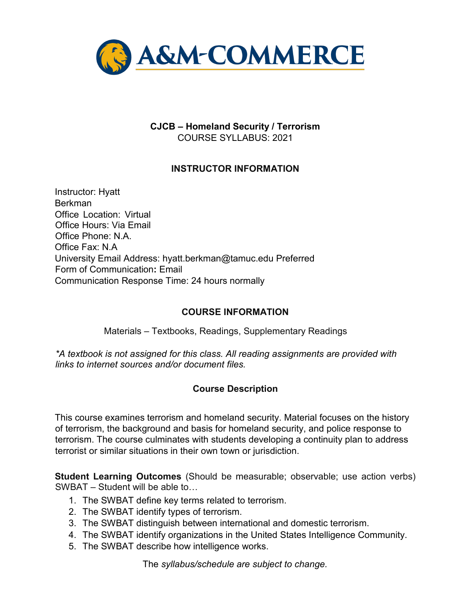

# **CJCB – Homeland Security / Terrorism**  COURSE SYLLABUS: 2021

# **INSTRUCTOR INFORMATION**

Instructor: Hyatt Berkman Office Location: Virtual Office Hours: Via Email Office Phone: N.A. Office Fax: N.A University Email Address: hyatt.berkman@tamuc.edu Preferred Form of Communication**:** Email Communication Response Time: 24 hours normally

## **COURSE INFORMATION**

Materials – Textbooks, Readings, Supplementary Readings

*\*A textbook is not assigned for this class. All reading assignments are provided with links to internet sources and/or document files.* 

## **Course Description**

This course examines terrorism and homeland security. Material focuses on the history of terrorism, the background and basis for homeland security, and police response to terrorism. The course culminates with students developing a continuity plan to address terrorist or similar situations in their own town or jurisdiction.

**Student Learning Outcomes** (Should be measurable; observable; use action verbs) SWBAT – Student will be able to…

- 1. The SWBAT define key terms related to terrorism.
- 2. The SWBAT identify types of terrorism.
- 3. The SWBAT distinguish between international and domestic terrorism.
- 4. The SWBAT identify organizations in the United States Intelligence Community.
- 5. The SWBAT describe how intelligence works.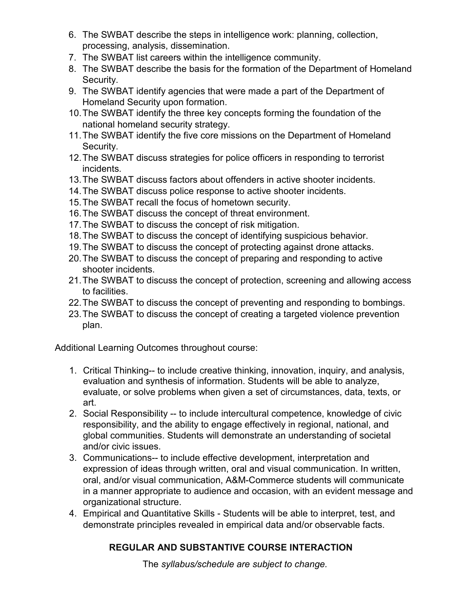- 6. The SWBAT describe the steps in intelligence work: planning, collection, processing, analysis, dissemination.
- 7. The SWBAT list careers within the intelligence community.
- 8. The SWBAT describe the basis for the formation of the Department of Homeland Security.
- 9. The SWBAT identify agencies that were made a part of the Department of Homeland Security upon formation.
- 10.The SWBAT identify the three key concepts forming the foundation of the national homeland security strategy.
- 11.The SWBAT identify the five core missions on the Department of Homeland Security.
- 12.The SWBAT discuss strategies for police officers in responding to terrorist incidents.
- 13.The SWBAT discuss factors about offenders in active shooter incidents.
- 14.The SWBAT discuss police response to active shooter incidents.
- 15.The SWBAT recall the focus of hometown security.
- 16.The SWBAT discuss the concept of threat environment.
- 17.The SWBAT to discuss the concept of risk mitigation.
- 18.The SWBAT to discuss the concept of identifying suspicious behavior.
- 19.The SWBAT to discuss the concept of protecting against drone attacks.
- 20.The SWBAT to discuss the concept of preparing and responding to active shooter incidents.
- 21.The SWBAT to discuss the concept of protection, screening and allowing access to facilities.
- 22.The SWBAT to discuss the concept of preventing and responding to bombings.
- 23.The SWBAT to discuss the concept of creating a targeted violence prevention plan.

Additional Learning Outcomes throughout course:

- 1. Critical Thinking-- to include creative thinking, innovation, inquiry, and analysis, evaluation and synthesis of information. Students will be able to analyze, evaluate, or solve problems when given a set of circumstances, data, texts, or art.
- 2. Social Responsibility -- to include intercultural competence, knowledge of civic responsibility, and the ability to engage effectively in regional, national, and global communities. Students will demonstrate an understanding of societal and/or civic issues.
- 3. Communications-- to include effective development, interpretation and expression of ideas through written, oral and visual communication. In written, oral, and/or visual communication, A&M-Commerce students will communicate in a manner appropriate to audience and occasion, with an evident message and organizational structure.
- 4. Empirical and Quantitative Skills Students will be able to interpret, test, and demonstrate principles revealed in empirical data and/or observable facts.

# **REGULAR AND SUBSTANTIVE COURSE INTERACTION**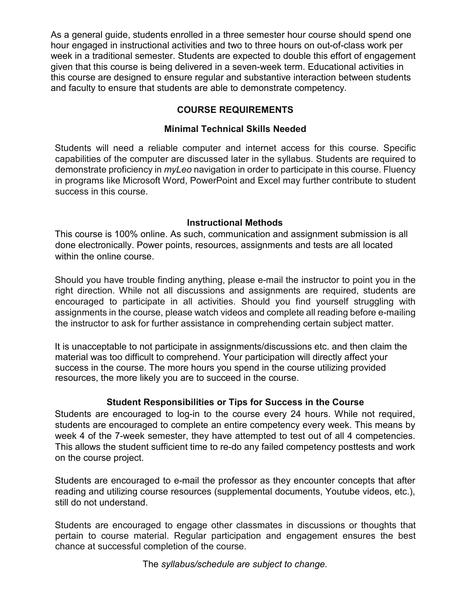As a general guide, students enrolled in a three semester hour course should spend one hour engaged in instructional activities and two to three hours on out-of-class work per week in a traditional semester. Students are expected to double this effort of engagement given that this course is being delivered in a seven-week term. Educational activities in this course are designed to ensure regular and substantive interaction between students and faculty to ensure that students are able to demonstrate competency.

# **COURSE REQUIREMENTS**

# **Minimal Technical Skills Needed**

Students will need a reliable computer and internet access for this course. Specific capabilities of the computer are discussed later in the syllabus. Students are required to demonstrate proficiency in *myLeo* navigation in order to participate in this course. Fluency in programs like Microsoft Word, PowerPoint and Excel may further contribute to student success in this course.

## **Instructional Methods**

This course is 100% online. As such, communication and assignment submission is all done electronically. Power points, resources, assignments and tests are all located within the online course.

Should you have trouble finding anything, please e-mail the instructor to point you in the right direction. While not all discussions and assignments are required, students are encouraged to participate in all activities. Should you find yourself struggling with assignments in the course, please watch videos and complete all reading before e-mailing the instructor to ask for further assistance in comprehending certain subject matter.

It is unacceptable to not participate in assignments/discussions etc. and then claim the material was too difficult to comprehend. Your participation will directly affect your success in the course. The more hours you spend in the course utilizing provided resources, the more likely you are to succeed in the course.

## **Student Responsibilities or Tips for Success in the Course**

Students are encouraged to log-in to the course every 24 hours. While not required, students are encouraged to complete an entire competency every week. This means by week 4 of the 7-week semester, they have attempted to test out of all 4 competencies. This allows the student sufficient time to re-do any failed competency posttests and work on the course project.

Students are encouraged to e-mail the professor as they encounter concepts that after reading and utilizing course resources (supplemental documents, Youtube videos, etc.), still do not understand.

Students are encouraged to engage other classmates in discussions or thoughts that pertain to course material. Regular participation and engagement ensures the best chance at successful completion of the course.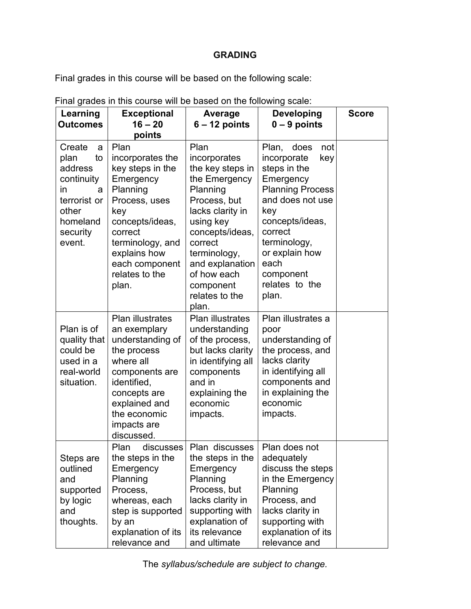# **GRADING**

Final grades in this course will be based on the following scale:

| Learning<br><b>Outcomes</b>                                                                                               | <b>Exceptional</b><br>$16 - 20$<br>points                                                                                                                                                                    | Average<br>$6 - 12$ points                                                                                                                                                                                                                     | <b>Developing</b><br>$0 - 9$ points                                                                                                                                                                                                        | <b>Score</b> |
|---------------------------------------------------------------------------------------------------------------------------|--------------------------------------------------------------------------------------------------------------------------------------------------------------------------------------------------------------|------------------------------------------------------------------------------------------------------------------------------------------------------------------------------------------------------------------------------------------------|--------------------------------------------------------------------------------------------------------------------------------------------------------------------------------------------------------------------------------------------|--------------|
| Create<br>a<br>plan<br>to<br>address<br>continuity<br>in.<br>a<br>terrorist or<br>other<br>homeland<br>security<br>event. | Plan<br>incorporates the<br>key steps in the<br>Emergency<br>Planning<br>Process, uses<br>key<br>concepts/ideas,<br>correct<br>terminology, and<br>explains how<br>each component<br>relates to the<br>plan. | Plan<br>incorporates<br>the key steps in<br>the Emergency<br>Planning<br>Process, but<br>lacks clarity in<br>using key<br>concepts/ideas,<br>correct<br>terminology,<br>and explanation<br>of how each<br>component<br>relates to the<br>plan. | Plan, does<br>not<br>incorporate<br>key<br>steps in the<br>Emergency<br><b>Planning Process</b><br>and does not use<br>key<br>concepts/ideas,<br>correct<br>terminology,<br>or explain how<br>each<br>component<br>relates to the<br>plan. |              |
| Plan is of<br>quality that<br>could be<br>used in a<br>real-world<br>situation.                                           | <b>Plan illustrates</b><br>an exemplary<br>understanding of<br>the process<br>where all<br>components are<br>identified,<br>concepts are<br>explained and<br>the economic<br>impacts are<br>discussed.       | <b>Plan illustrates</b><br>understanding<br>of the process,<br>but lacks clarity<br>in identifying all<br>components<br>and in<br>explaining the<br>economic<br>impacts.                                                                       | Plan illustrates a<br>poor<br>understanding of<br>the process, and<br>lacks clarity<br>in identifying all<br>components and<br>in explaining the<br>economic<br>impacts.                                                                   |              |
| Steps are<br>outlined<br>and<br>supported<br>by logic<br>and<br>thoughts.                                                 | Plan discusses Plan discusses   Plan does not<br>the steps in the<br>Emergency<br>Planning<br>Process,<br>whereas, each<br>step is supported<br>by an<br>explanation of its<br>relevance and                 | the steps in the<br>Emergency<br>Planning<br>Process, but<br>lacks clarity in<br>supporting with<br>explanation of<br>its relevance<br>and ultimate                                                                                            | adequately<br>discuss the steps<br>in the Emergency<br>Planning<br>Process, and<br>lacks clarity in<br>supporting with<br>explanation of its<br>relevance and                                                                              |              |

Final grades in this course will be based on the following scale: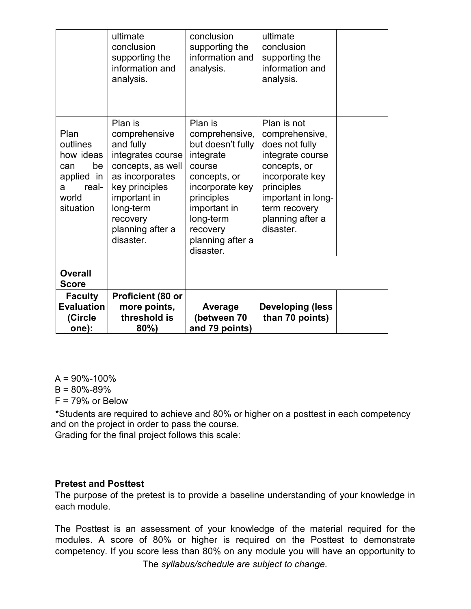|                                                                                              | ultimate<br>conclusion<br>supporting the<br>information and<br>analysis.                                                                                                                       | conclusion<br>supporting the<br>information and<br>analysis.                                                                                                                                     | ultimate<br>conclusion<br>supporting the<br>information and<br>analysis.                                                                                                                     |  |
|----------------------------------------------------------------------------------------------|------------------------------------------------------------------------------------------------------------------------------------------------------------------------------------------------|--------------------------------------------------------------------------------------------------------------------------------------------------------------------------------------------------|----------------------------------------------------------------------------------------------------------------------------------------------------------------------------------------------|--|
| Plan<br>outlines<br>how ideas<br>be<br>can<br>applied in<br>real-<br>a<br>world<br>situation | Plan is<br>comprehensive<br>and fully<br>integrates course<br>concepts, as well<br>as incorporates<br>key principles<br>important in<br>long-term<br>recovery<br>planning after a<br>disaster. | Plan is<br>comprehensive,<br>but doesn't fully<br>integrate<br>course<br>concepts, or<br>incorporate key<br>principles<br>important in<br>long-term<br>recovery<br>planning after a<br>disaster. | Plan is not<br>comprehensive,<br>does not fully<br>integrate course<br>concepts, or<br>incorporate key<br>principles<br>important in long-<br>term recovery<br>planning after a<br>disaster. |  |
| <b>Overall</b><br><b>Score</b>                                                               |                                                                                                                                                                                                |                                                                                                                                                                                                  |                                                                                                                                                                                              |  |
| <b>Faculty</b><br><b>Evaluation</b><br>(Circle<br>one):                                      | Proficient (80 or<br>more points,<br>threshold is<br>$80\%$                                                                                                                                    | <b>Average</b><br>(between 70<br>and 79 points)                                                                                                                                                  | <b>Developing (less</b><br>than 70 points)                                                                                                                                                   |  |

 $A = 90\% - 100\%$ 

 $B = 80\% - 89\%$ 

F = 79% or Below

\*Students are required to achieve and 80% or higher on a posttest in each competency and on the project in order to pass the course.

Grading for the final project follows this scale:

#### **Pretest and Posttest**

The purpose of the pretest is to provide a baseline understanding of your knowledge in each module.

The Posttest is an assessment of your knowledge of the material required for the modules. A score of 80% or higher is required on the Posttest to demonstrate competency. If you score less than 80% on any module you will have an opportunity to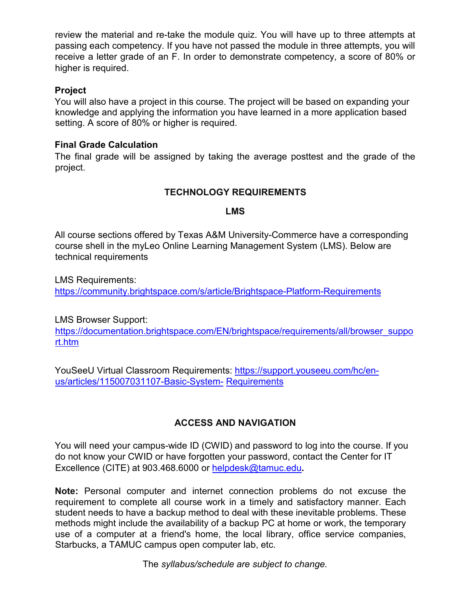review the material and re-take the module quiz. You will have up to three attempts at passing each competency. If you have not passed the module in three attempts, you will receive a letter grade of an F. In order to demonstrate competency, a score of 80% or higher is required.

#### **Project**

You will also have a project in this course. The project will be based on expanding your knowledge and applying the information you have learned in a more application based setting. A score of 80% or higher is required.

#### **Final Grade Calculation**

The final grade will be assigned by taking the average posttest and the grade of the project.

## **TECHNOLOGY REQUIREMENTS**

#### **LMS**

All course sections offered by Texas A&M University-Commerce have a corresponding course shell in the myLeo Online Learning Management System (LMS). Below are technical requirements

LMS Requirements: <https://community.brightspace.com/s/article/Brightspace-Platform-Requirements>

LMS Browser Support:

[https://documentation.brightspace.com/EN/brightspace/requirements/all/browser\\_suppo](https://documentation.brightspace.com/EN/brightspace/requirements/all/browser_support.htm) [rt.htm](https://documentation.brightspace.com/EN/brightspace/requirements/all/browser_support.htm)

YouSeeU Virtual Classroom Requirements: [https://support.youseeu.com/hc/en](https://support.youseeu.com/hc/en-us/articles/115007031107-Basic-System-Requirements)[us/articles/115007031107-Basic-System-](https://support.youseeu.com/hc/en-us/articles/115007031107-Basic-System-Requirements) [Requirements](https://support.youseeu.com/hc/en-us/articles/115007031107-Basic-System-Requirements)

# **ACCESS AND NAVIGATION**

You will need your campus-wide ID (CWID) and password to log into the course. If you do not know your CWID or have forgotten your password, contact the Center for IT Excellence (CITE) at 903.468.6000 or helpdesk@tamuc.edu**.** 

**Note:** Personal computer and internet connection problems do not excuse the requirement to complete all course work in a timely and satisfactory manner. Each student needs to have a backup method to deal with these inevitable problems. These methods might include the availability of a backup PC at home or work, the temporary use of a computer at a friend's home, the local library, office service companies, Starbucks, a TAMUC campus open computer lab, etc.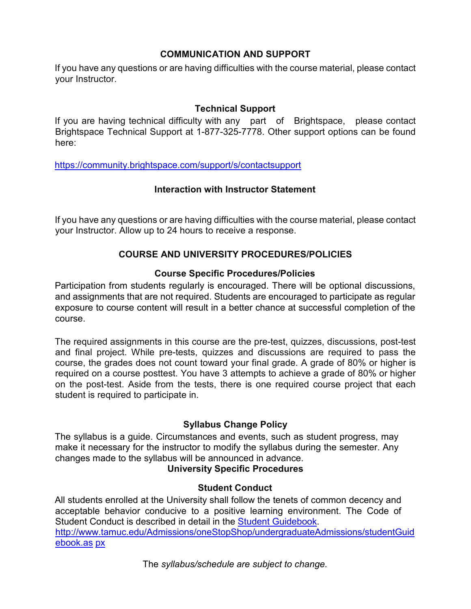## **COMMUNICATION AND SUPPORT**

If you have any questions or are having difficulties with the course material, please contact your Instructor.

## **Technical Support**

If you are having technical difficulty with any part of Brightspace, please contact Brightspace Technical Support at 1-877-325-7778. Other support options can be found here:

<https://community.brightspace.com/support/s/contactsupport>

#### **Interaction with Instructor Statement**

If you have any questions or are having difficulties with the course material, please contact your Instructor. Allow up to 24 hours to receive a response.

#### **COURSE AND UNIVERSITY PROCEDURES/POLICIES**

#### **Course Specific Procedures/Policies**

Participation from students regularly is encouraged. There will be optional discussions, and assignments that are not required. Students are encouraged to participate as regular exposure to course content will result in a better chance at successful completion of the course.

The required assignments in this course are the pre-test, quizzes, discussions, post-test and final project. While pre-tests, quizzes and discussions are required to pass the course, the grades does not count toward your final grade. A grade of 80% or higher is required on a course posttest. You have 3 attempts to achieve a grade of 80% or higher on the post-test. Aside from the tests, there is one required course project that each student is required to participate in.

## **Syllabus Change Policy**

The syllabus is a guide. Circumstances and events, such as student progress, may make it necessary for the instructor to modify the syllabus during the semester. Any changes made to the syllabus will be announced in advance.

#### **University Specific Procedures**

#### **Student Conduct**

All students enrolled at the University shall follow the tenets of common decency and acceptable behavior conducive to a positive learning environment. The Code of Student Conduct is described in detail in the [Student Guidebook.](http://www.tamuc.edu/Admissions/oneStopShop/undergraduateAdmissions/studentGuidebook.aspx) [http://www.tamuc.edu/Admissions/oneStopShop/undergraduateAdmissions/studentGuid](http://www.tamuc.edu/Admissions/oneStopShop/undergraduateAdmissions/studentGuidebook.aspx) [ebook.as](http://www.tamuc.edu/Admissions/oneStopShop/undergraduateAdmissions/studentGuidebook.aspx) [px](http://www.tamuc.edu/Admissions/oneStopShop/undergraduateAdmissions/studentGuidebook.aspx)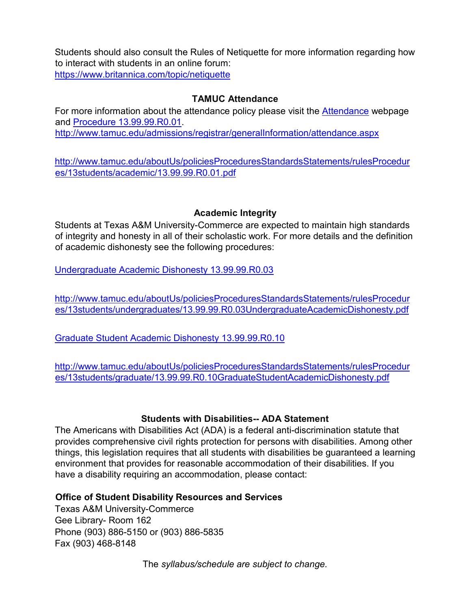Students should also consult the Rules of Netiquette for more information regarding how to interact with students in an online forum: <https://www.britannica.com/topic/netiquette>

#### **TAMUC Attendance**

For more information about the attendance policy please visit the [Attendance](http://www.tamuc.edu/admissions/registrar/generalInformation/attendance.aspx) [we](http://www.tamuc.edu/admissions/registrar/generalInformation/attendance.aspx)bpage and [Procedure 13.99.99.R0.01.](http://www.tamuc.edu/aboutUs/policiesProceduresStandardsStatements/rulesProcedures/13students/academic/13.99.99.R0.01.pdf) <http://www.tamuc.edu/admissions/registrar/generalInformation/attendance.aspx>

[http://www.tamuc.edu/aboutUs/policiesProceduresStandardsStatements/rulesProcedur](http://www.tamuc.edu/aboutUs/policiesProceduresStandardsStatements/rulesProcedures/13students/academic/13.99.99.R0.01.pdf) [es/13students/academic/13.99.99.R0.01.pdf](http://www.tamuc.edu/aboutUs/policiesProceduresStandardsStatements/rulesProcedures/13students/academic/13.99.99.R0.01.pdf)

## **Academic Integrity**

Students at Texas A&M University-Commerce are expected to maintain high standards of integrity and honesty in all of their scholastic work. For more details and the definition of academic dishonesty see the following procedures:

[Undergraduate Academic Dishonesty 13.99.99.R0.03](http://www.tamuc.edu/aboutUs/policiesProceduresStandardsStatements/rulesProcedures/13students/undergraduates/13.99.99.R0.03UndergraduateAcademicDishonesty.pdf)

[http://www.tamuc.edu/aboutUs/policiesProceduresStandardsStatements/rulesProcedur](http://www.tamuc.edu/aboutUs/policiesProceduresStandardsStatements/rulesProcedures/13students/undergraduates/13.99.99.R0.03UndergraduateAcademicDishonesty.pdf) [es/13students/undergraduates/13.99.99.R0.03UndergraduateAcademicDishonesty.pdf](http://www.tamuc.edu/aboutUs/policiesProceduresStandardsStatements/rulesProcedures/13students/undergraduates/13.99.99.R0.03UndergraduateAcademicDishonesty.pdf)

[Graduate Student Academic Dishonesty 13.99.99.R0.10](http://www.tamuc.edu/aboutUs/policiesProceduresStandardsStatements/rulesProcedures/13students/graduate/13.99.99.R0.10GraduateStudentAcademicDishonesty.pdf)

[http://www.tamuc.edu/aboutUs/policiesProceduresStandardsStatements/rulesProcedur](http://www.tamuc.edu/aboutUs/policiesProceduresStandardsStatements/rulesProcedures/13students/graduate/13.99.99.R0.10GraduateStudentAcademicDishonesty.pdf) [es/13students/graduate/13.99.99.R0.10GraduateStudentAcademicDishonesty.pdf](http://www.tamuc.edu/aboutUs/policiesProceduresStandardsStatements/rulesProcedures/13students/graduate/13.99.99.R0.10GraduateStudentAcademicDishonesty.pdf)

#### **Students with Disabilities-- ADA Statement**

The Americans with Disabilities Act (ADA) is a federal anti-discrimination statute that provides comprehensive civil rights protection for persons with disabilities. Among other things, this legislation requires that all students with disabilities be guaranteed a learning environment that provides for reasonable accommodation of their disabilities. If you have a disability requiring an accommodation, please contact:

## **Office of Student Disability Resources and Services**

Texas A&M University-Commerce Gee Library- Room 162 Phone (903) 886-5150 or (903) 886-5835 Fax (903) 468-8148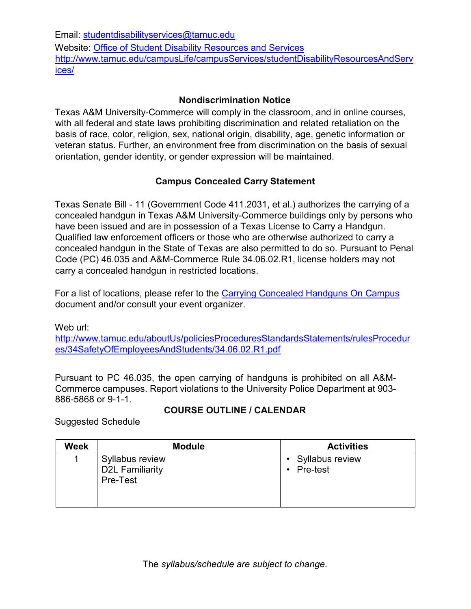Email: studentdisabilityservices@tamuc.edu Website: [Office of Student Disability Resources and Services](http://www.tamuc.edu/campusLife/campusServices/studentDisabilityResourcesAndServices/) [http://www.tamuc.edu/campusLife/campusServices/studentDisabilityResourcesAndServ](http://www.tamuc.edu/campusLife/campusServices/studentDisabilityResourcesAndServices/) [ices/](http://www.tamuc.edu/campusLife/campusServices/studentDisabilityResourcesAndServices/)

## **Nondiscrimination Notice**

Texas A&M University-Commerce will comply in the classroom, and in online courses, with all federal and state laws prohibiting discrimination and related retaliation on the basis of race, color, religion, sex, national origin, disability, age, genetic information or veteran status. Further, an environment free from discrimination on the basis of sexual orientation, gender identity, or gender expression will be maintained.

# **Campus Concealed Carry Statement**

Texas Senate Bill - 11 (Government Code 411.2031, et al.) authorizes the carrying of a concealed handgun in Texas A&M University-Commerce buildings only by persons who have been issued and are in possession of a Texas License to Carry a Handgun. Qualified law enforcement officers or those who are otherwise authorized to carry a concealed handgun in the State of Texas are also permitted to do so. Pursuant to Penal Code (PC) 46.035 and A&M-Commerce Rule 34.06.02.R1, license holders may not carry a concealed handgun in restricted locations.

For a list of locations, please refer to the [Carrying Concealed Handguns](http://www.tamuc.edu/aboutUs/policiesProceduresStandardsStatements/rulesProcedures/34SafetyOfEmployeesAndStudents/34.06.02.R1.pdf) On Campu[s](http://www.tamuc.edu/aboutUs/policiesProceduresStandardsStatements/rulesProcedures/34SafetyOfEmployeesAndStudents/34.06.02.R1.pdf) document and/or consult your event organizer.

Web url: [http://www.tamuc.edu/aboutUs/policiesProceduresStandardsStatements/rulesProcedur](http://www.tamuc.edu/aboutUs/policiesProceduresStandardsStatements/rulesProcedures/34SafetyOfEmployeesAndStudents/34.06.02.R1.pdf) [es/34SafetyOfEmployeesAndStudents/34.06.02.R1.pdf](http://www.tamuc.edu/aboutUs/policiesProceduresStandardsStatements/rulesProcedures/34SafetyOfEmployeesAndStudents/34.06.02.R1.pdf)

Pursuant to PC 46.035, the open carrying of handguns is prohibited on all A&M-Commerce campuses. Report violations to the University Police Department at 903- 886-5868 or 9-1-1.

# **COURSE OUTLINE / CALENDAR**

Suggested Schedule

| <b>Week</b> | <b>Module</b>                                         | <b>Activities</b>                          |
|-------------|-------------------------------------------------------|--------------------------------------------|
|             | Syllabus review<br><b>D2L Familiarity</b><br>Pre-Test | • Syllabus review<br>Pre-test<br>$\bullet$ |